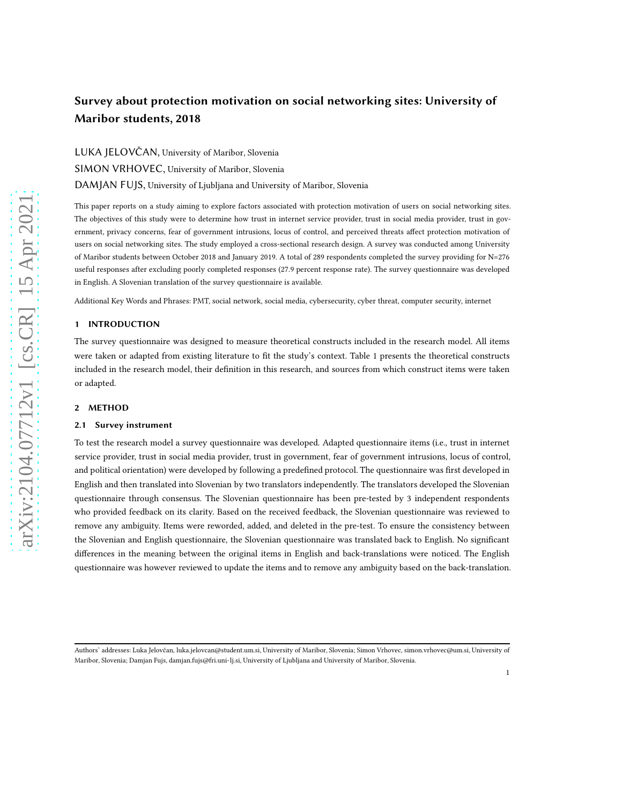# Survey about protection motivation on social networking sites: University of Maribor students, 2018

LUKA JELOVČAN, University of Maribor, Slovenia SIMON VRHOVEC, University of Maribor, Slovenia DAMJAN FUJS, University of Ljubljana and University of Maribor, Slovenia

This paper reports on a study aiming to explore factors associated with protection motivation of users on social networking sites. The objectives of this study were to determine how trust in internet service provider, trust in social media provider, trust in government, privacy concerns, fear of government intrusions, locus of control, and perceived threats affect protection motivation of users on social networking sites. The study employed a cross-sectional research design. A survey was conducted among University of Maribor students between October 2018 and January 2019. A total of 289 respondents completed the survey providing for N=276 useful responses after excluding poorly completed responses (27.9 percent response rate). The survey questionnaire was developed in English. A Slovenian translation of the survey questionnaire is available.

Additional Key Words and Phrases: PMT, social network, social media, cybersecurity, cyber threat, computer security, internet

### 1 INTRODUCTION

The survey questionnaire was designed to measure theoretical constructs included in the research model. All items were taken or adapted from existing literature to fit the study's context. Table [1](#page-1-0) presents the theoretical constructs included in the research model, their definition in this research, and sources from which construct items were taken or adapted.

#### 2 METHOD

#### 2.1 Survey instrument

To test the research model a survey questionnaire was developed. Adapted questionnaire items (i.e., trust in internet service provider, trust in social media provider, trust in government, fear of government intrusions, locus of control, and political orientation) were developed by following a predefined protocol. The questionnaire was first developed in English and then translated into Slovenian by two translators independently. The translators developed the Slovenian questionnaire through consensus. The Slovenian questionnaire has been pre-tested by 3 independent respondents who provided feedback on its clarity. Based on the received feedback, the Slovenian questionnaire was reviewed to remove any ambiguity. Items were reworded, added, and deleted in the pre-test. To ensure the consistency between the Slovenian and English questionnaire, the Slovenian questionnaire was translated back to English. No significant differences in the meaning between the original items in English and back-translations were noticed. The English questionnaire was however reviewed to update the items and to remove any ambiguity based on the back-translation.

Authors' addresses: Luka Jelovčan, luka.jelovcan@student.um.si, University of Maribor, Slovenia; Simon Vrhovec, simon.vrhovec@um.si, University of Maribor, Slovenia; Damjan Fujs, damjan.fujs@fri.uni-lj.si, University of Ljubljana and University of Maribor, Slovenia.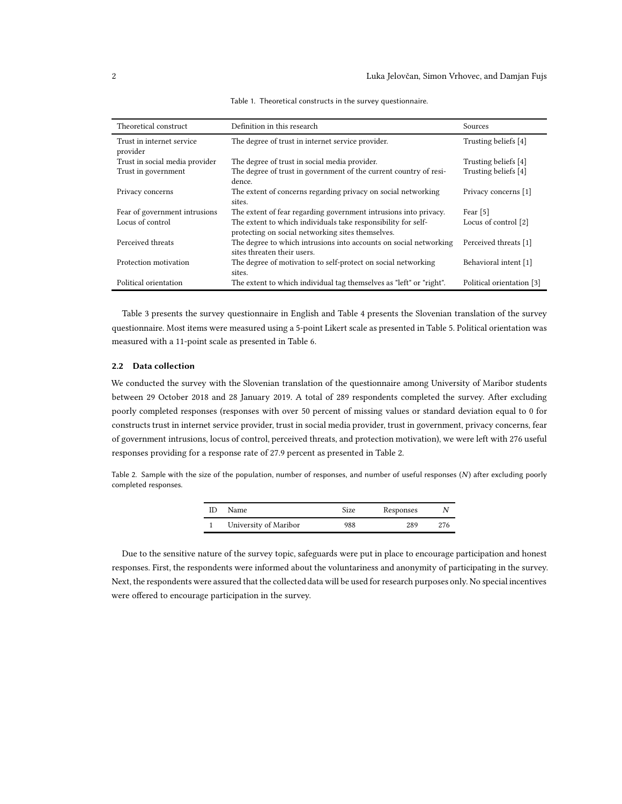<span id="page-1-0"></span>

| Theoretical construct                 | Definition in this research                                                                                        | Sources                   |
|---------------------------------------|--------------------------------------------------------------------------------------------------------------------|---------------------------|
| Trust in internet service<br>provider | The degree of trust in internet service provider.                                                                  | Trusting beliefs [4]      |
| Trust in social media provider        | The degree of trust in social media provider.                                                                      | Trusting beliefs [4]      |
| Trust in government                   | The degree of trust in government of the current country of resi-<br>dence.                                        | Trusting beliefs [4]      |
| Privacy concerns                      | The extent of concerns regarding privacy on social networking<br>sites.                                            | Privacy concerns [1]      |
| Fear of government intrusions         | The extent of fear regarding government intrusions into privacy.                                                   | Fear <sup>[5]</sup>       |
| Locus of control                      | The extent to which individuals take responsibility for self-<br>protecting on social networking sites themselves. | Locus of control [2]      |
| Perceived threats                     | The degree to which intrusions into accounts on social networking<br>sites threaten their users.                   | Perceived threats [1]     |
| Protection motivation                 | The degree of motivation to self-protect on social networking<br>sites.                                            | Behavioral intent [1]     |
| Political orientation                 | The extent to which individual tag themselves as "left" or "right".                                                | Political orientation [3] |

Table 1. Theoretical constructs in the survey questionnaire.

Table [3](#page-2-0) presents the survey questionnaire in English and Table [4](#page-3-0) presents the Slovenian translation of the survey questionnaire. Most items were measured using a 5-point Likert scale as presented in Table [5.](#page-4-0) Political orientation was measured with a 11-point scale as presented in Table [6.](#page-4-1)

#### 2.2 Data collection

We conducted the survey with the Slovenian translation of the questionnaire among University of Maribor students between 29 October 2018 and 28 January 2019. A total of 289 respondents completed the survey. After excluding poorly completed responses (responses with over 50 percent of missing values or standard deviation equal to 0 for constructs trust in internet service provider, trust in social media provider, trust in government, privacy concerns, fear of government intrusions, locus of control, perceived threats, and protection motivation), we were left with 276 useful responses providing for a response rate of 27.9 percent as presented in Table [2.](#page-1-1)

<span id="page-1-1"></span>Table 2. Sample with the size of the population, number of responses, and number of useful responses (N) after excluding poorly completed responses.

| Name.                 | Size | Responses | N |
|-----------------------|------|-----------|---|
| University of Maribor | 988  | 289       |   |

Due to the sensitive nature of the survey topic, safeguards were put in place to encourage participation and honest responses. First, the respondents were informed about the voluntariness and anonymity of participating in the survey. Next, the respondents were assured that the collected data will be used for research purposes only. No special incentives were offered to encourage participation in the survey.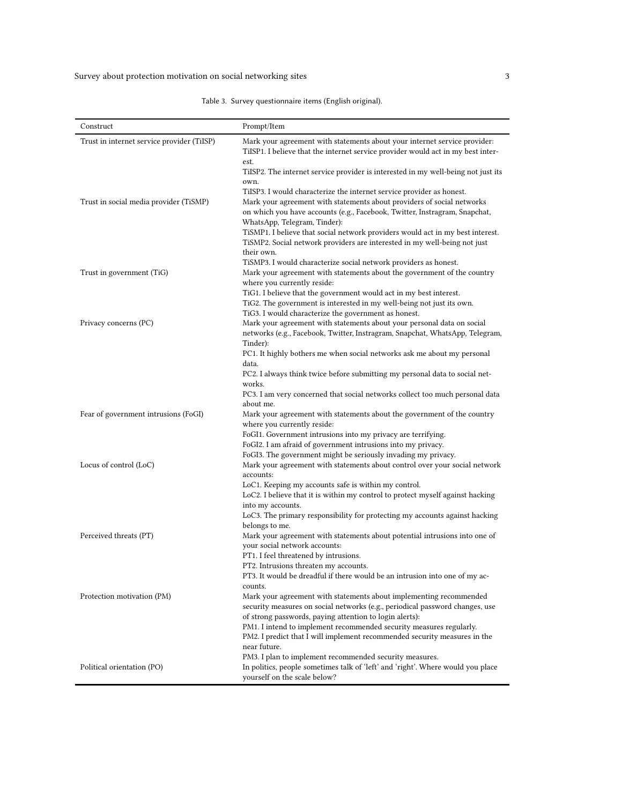Table 3. Survey questionnaire items (English original).

<span id="page-2-0"></span>

| Construct                                  | Prompt/Item                                                                                                                                                                                                                                                                                                                                                                                                                                                                                                                                            |
|--------------------------------------------|--------------------------------------------------------------------------------------------------------------------------------------------------------------------------------------------------------------------------------------------------------------------------------------------------------------------------------------------------------------------------------------------------------------------------------------------------------------------------------------------------------------------------------------------------------|
| Trust in internet service provider (TiISP) | Mark your agreement with statements about your internet service provider:<br>TiISP1. I believe that the internet service provider would act in my best inter-                                                                                                                                                                                                                                                                                                                                                                                          |
| Trust in social media provider (TiSMP)     | est.<br>TiISP2. The internet service provider is interested in my well-being not just its<br>own.<br>TiISP3. I would characterize the internet service provider as honest.<br>Mark your agreement with statements about providers of social networks<br>on which you have accounts (e.g., Facebook, Twitter, Instragram, Snapchat,<br>WhatsApp, Telegram, Tinder):<br>TiSMP1. I believe that social network providers would act in my best interest.<br>TiSMP2. Social network providers are interested in my well-being not just<br>their own.        |
| Trust in government (TiG)                  | TiSMP3. I would characterize social network providers as honest.<br>Mark your agreement with statements about the government of the country<br>where you currently reside:                                                                                                                                                                                                                                                                                                                                                                             |
| Privacy concerns (PC)                      | TiG1. I believe that the government would act in my best interest.<br>TiG2. The government is interested in my well-being not just its own.<br>TiG3. I would characterize the government as honest.<br>Mark your agreement with statements about your personal data on social<br>networks (e.g., Facebook, Twitter, Instragram, Snapchat, WhatsApp, Telegram,<br>Tinder):<br>PC1. It highly bothers me when social networks ask me about my personal<br>data.<br>PC2. I always think twice before submitting my personal data to social net-<br>works. |
| Fear of government intrusions (FoGI)       | PC3. I am very concerned that social networks collect too much personal data<br>about me.<br>Mark your agreement with statements about the government of the country<br>where you currently reside:                                                                                                                                                                                                                                                                                                                                                    |
| Locus of control (LoC)                     | FoGI1. Government intrusions into my privacy are terrifying.<br>FoGI2. I am afraid of government intrusions into my privacy.<br>FoGI3. The government might be seriously invading my privacy.<br>Mark your agreement with statements about control over your social network<br>accounts:<br>LoC1. Keeping my accounts safe is within my control.<br>LoC2. I believe that it is within my control to protect myself against hacking                                                                                                                     |
| Perceived threats (PT)                     | into my accounts.<br>LoC3. The primary responsibility for protecting my accounts against hacking<br>belongs to me.<br>Mark your agreement with statements about potential intrusions into one of<br>your social network accounts:<br>PT1. I feel threatened by intrusions.<br>PT2. Intrusions threaten my accounts.<br>PT3. It would be dreadful if there would be an intrusion into one of my ac-                                                                                                                                                     |
| Protection motivation (PM)                 | counts.<br>Mark your agreement with statements about implementing recommended<br>security measures on social networks (e.g., periodical password changes, use<br>of strong passwords, paying attention to login alerts):<br>PM1. I intend to implement recommended security measures regularly.<br>PM2. I predict that I will implement recommended security measures in the<br>near future.                                                                                                                                                           |
| Political orientation (PO)                 | PM3. I plan to implement recommended security measures.<br>In politics, people sometimes talk of 'left' and 'right'. Where would you place<br>yourself on the scale below?                                                                                                                                                                                                                                                                                                                                                                             |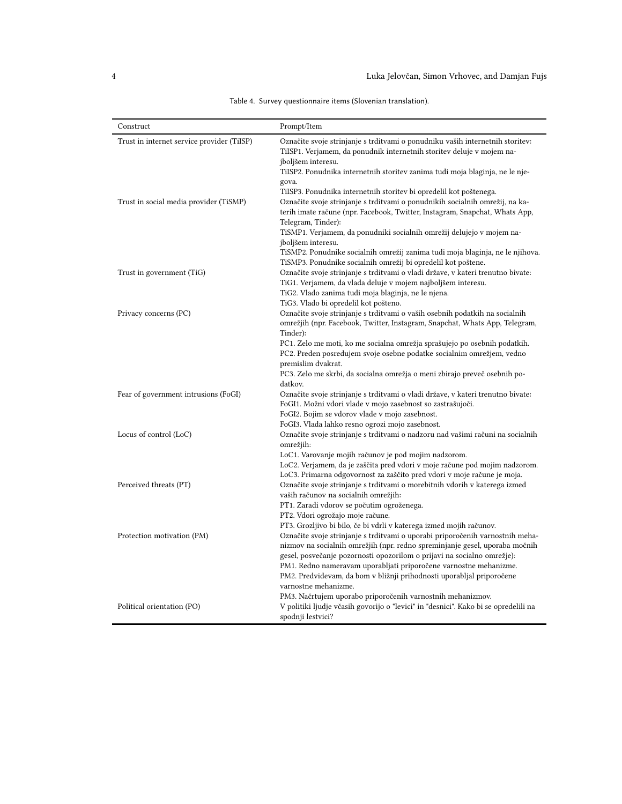<span id="page-3-0"></span>

| Construct                                  | Prompt/Item                                                                                                                                                                                                                                             |
|--------------------------------------------|---------------------------------------------------------------------------------------------------------------------------------------------------------------------------------------------------------------------------------------------------------|
| Trust in internet service provider (TiISP) | Označite svoje strinjanje s trditvami o ponudniku vaših internetnih storitev:<br>TiISP1. Verjamem, da ponudnik internetnih storitev deluje v mojem na-                                                                                                  |
|                                            | jboljšem interesu.                                                                                                                                                                                                                                      |
|                                            | TiISP2. Ponudnika internetnih storitev zanima tudi moja blaginja, ne le nje-                                                                                                                                                                            |
|                                            | gova.                                                                                                                                                                                                                                                   |
| Trust in social media provider (TiSMP)     | TiISP3. Ponudnika internetnih storitev bi opredelil kot poštenega.<br>Označite svoje strinjanje s trditvami o ponudnikih socialnih omrežij, na ka-<br>terih imate račune (npr. Facebook, Twitter, Instagram, Snapchat, Whats App,<br>Telegram, Tinder): |
|                                            | TiSMP1. Verjamem, da ponudniki socialnih omrežij delujejo v mojem na-                                                                                                                                                                                   |
|                                            | jboljšem interesu.                                                                                                                                                                                                                                      |
|                                            | TiSMP2. Ponudnike socialnih omrežij zanima tudi moja blaginja, ne le njihova.<br>TiSMP3. Ponudnike socialnih omrežij bi opredelil kot poštene.                                                                                                          |
| Trust in government (TiG)                  | Označite svoje strinjanje s trditvami o vladi države, v kateri trenutno bivate:                                                                                                                                                                         |
|                                            | TiG1. Verjamem, da vlada deluje v mojem najboljšem interesu.                                                                                                                                                                                            |
|                                            | TiG2. Vlado zanima tudi moja blaginja, ne le njena.                                                                                                                                                                                                     |
|                                            | TiG3. Vlado bi opredelil kot pošteno.                                                                                                                                                                                                                   |
| Privacy concerns (PC)                      | Označite svoje strinjanje s trditvami o vaših osebnih podatkih na socialnih                                                                                                                                                                             |
|                                            | omrežjih (npr. Facebook, Twitter, Instagram, Snapchat, Whats App, Telegram,<br>Tinder):                                                                                                                                                                 |
|                                            | PC1. Zelo me moti, ko me socialna omrežja sprašujejo po osebnih podatkih.                                                                                                                                                                               |
|                                            | PC2. Preden posredujem svoje osebne podatke socialnim omrežjem, vedno                                                                                                                                                                                   |
|                                            | premislim dvakrat.                                                                                                                                                                                                                                      |
|                                            | PC3. Zelo me skrbi, da socialna omrežja o meni zbirajo preveč osebnih po-<br>datkov.                                                                                                                                                                    |
| Fear of government intrusions (FoGI)       | Označite svoje strinjanje s trditvami o vladi države, v kateri trenutno bivate:<br>FoGI1. Možni vdori vlade v mojo zasebnost so zastrašujoči.                                                                                                           |
|                                            | FoGI2. Bojim se vdorov vlade v mojo zasebnost.                                                                                                                                                                                                          |
|                                            | FoGI3. Vlada lahko resno ogrozi mojo zasebnost.                                                                                                                                                                                                         |
| Locus of control (LoC)                     | Označite svoje strinjanje s trditvami o nadzoru nad vašimi računi na socialnih                                                                                                                                                                          |
|                                            | omrežjih:<br>LoC1. Varovanje mojih računov je pod mojim nadzorom.                                                                                                                                                                                       |
|                                            | LoC2. Verjamem, da je zaščita pred vdori v moje račune pod mojim nadzorom.                                                                                                                                                                              |
|                                            | LoC3. Primarna odgovornost za zaščito pred vdori v moje račune je moja.                                                                                                                                                                                 |
| Perceived threats (PT)                     | Označite svoje strinjanje s trditvami o morebitnih vdorih v katerega izmed                                                                                                                                                                              |
|                                            | vaših računov na socialnih omrežjih:                                                                                                                                                                                                                    |
|                                            | PT1. Zaradi vdorov se počutim ogroženega.                                                                                                                                                                                                               |
|                                            | PT2. Vdori ogrožajo moje račune.                                                                                                                                                                                                                        |
|                                            | PT3. Grozljivo bi bilo, če bi vdrli v katerega izmed mojih računov.                                                                                                                                                                                     |
| Protection motivation (PM)                 | Označite svoje strinjanje s trditvami o uporabi priporočenih varnostnih meha-                                                                                                                                                                           |
|                                            | nizmov na socialnih omrežjih (npr. redno spreminjanje gesel, uporaba močnih<br>gesel, posvečanje pozornosti opozorilom o prijavi na socialno omrežje):                                                                                                  |
|                                            | PM1. Redno nameravam uporabljati priporočene varnostne mehanizme.                                                                                                                                                                                       |
|                                            | PM2. Predvidevam, da bom v bližnji prihodnosti uporabljal priporočene                                                                                                                                                                                   |
|                                            | varnostne mehanizme.                                                                                                                                                                                                                                    |
|                                            | PM3. Načrtujem uporabo priporočenih varnostnih mehanizmov.                                                                                                                                                                                              |
| Political orientation (PO)                 | V politiki ljudje včasih govorijo o "levici" in "desnici". Kako bi se opredelili na<br>spodnji lestvici?                                                                                                                                                |

Table 4. Survey questionnaire items (Slovenian translation).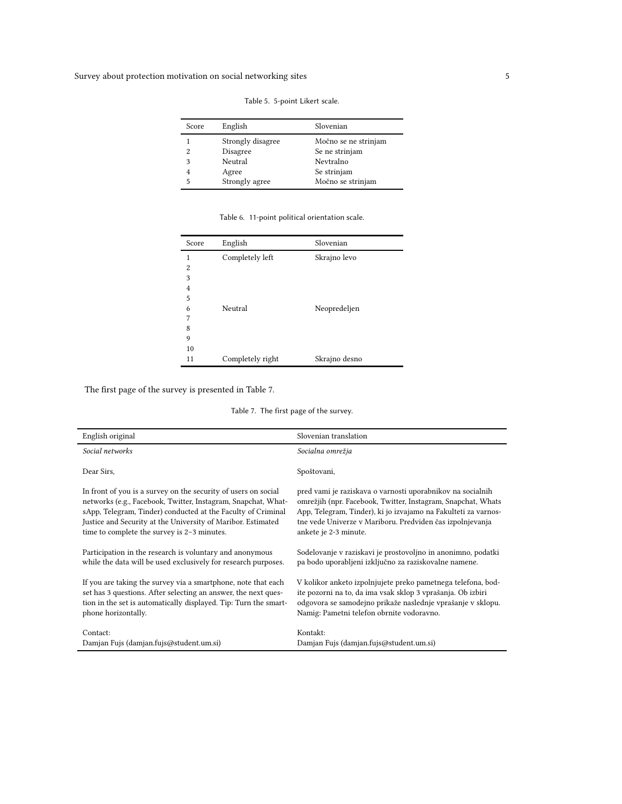<span id="page-4-0"></span>Survey about protection motivation on social networking sites 5  $\,$ 

| Score | English           | Slovenian            |
|-------|-------------------|----------------------|
|       | Strongly disagree | Močno se ne strinjam |
| 2     | Disagree          | Se ne strinjam       |
| 3     | Neutral           | Nevtralno            |
|       | Agree             | Se strinjam          |
| 5     | Strongly agree    | Močno se strinjam    |

Table 5. 5-point Likert scale.

| Table 6. 11-point political orientation scale. |  |
|------------------------------------------------|--|
|                                                |  |

<span id="page-4-1"></span>

| <b>Score</b>   | English          | Slovenian     |  |
|----------------|------------------|---------------|--|
| 1              | Completely left  | Skrajno levo  |  |
| $\overline{c}$ |                  |               |  |
| 3              |                  |               |  |
| 4              |                  |               |  |
| 5              |                  |               |  |
| 6              | Neutral          | Neopredeljen  |  |
| 7              |                  |               |  |
| 8              |                  |               |  |
| 9              |                  |               |  |
| 10             |                  |               |  |
| 11             | Completely right | Skrajno desno |  |

<span id="page-4-2"></span>The first page of the survey is presented in Table [7.](#page-4-2)

Table 7. The first page of the survey.

|                                                                  | Slovenian translation                                          |
|------------------------------------------------------------------|----------------------------------------------------------------|
| English original                                                 |                                                                |
| Social networks                                                  | Socialna omrežja                                               |
| Dear Sirs,                                                       | Spoštovani,                                                    |
| In front of you is a survey on the security of users on social   | pred vami je raziskava o varnosti uporabnikov na socialnih     |
| networks (e.g., Facebook, Twitter, Instagram, Snapchat, What-    | omrežjih (npr. Facebook, Twitter, Instagram, Snapchat, Whats   |
| sApp, Telegram, Tinder) conducted at the Faculty of Criminal     | App, Telegram, Tinder), ki jo izvajamo na Fakulteti za varnos- |
| Justice and Security at the University of Maribor. Estimated     | tne vede Univerze v Mariboru. Predviden čas izpolnjevanja      |
| time to complete the survey is 2-3 minutes.                      | ankete je 2-3 minute.                                          |
| Participation in the research is voluntary and anonymous         | Sodelovanje v raziskavi je prostovoljno in anonimno, podatki   |
| while the data will be used exclusively for research purposes.   | pa bodo uporabljeni izključno za raziskovalne namene.          |
| If you are taking the survey via a smartphone, note that each    | V kolikor anketo izpolnjujete preko pametnega telefona, bod-   |
| set has 3 questions. After selecting an answer, the next ques-   | ite pozorni na to, da ima vsak sklop 3 vprašanja. Ob izbiri    |
| tion in the set is automatically displayed. Tip: Turn the smart- | odgovora se samodejno prikaže naslednje vprašanje v sklopu.    |
| phone horizontally.                                              | Namig: Pametni telefon obrnite vodoravno.                      |
| Contact:                                                         | Kontakt:                                                       |
| Damjan Fujs (damjan.fujs@student.um.si)                          | Damjan Fujs (damjan.fujs@student.um.si)                        |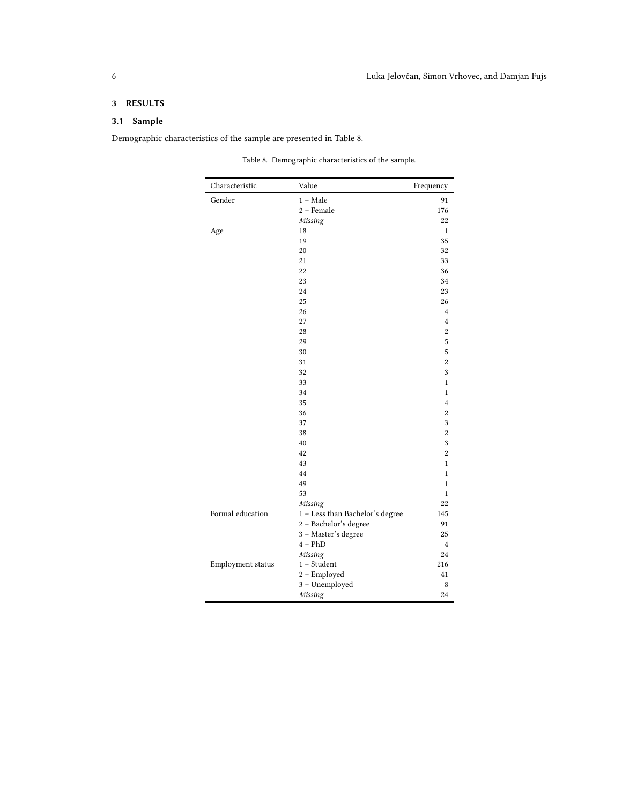# 3 RESULTS

## 3.1 Sample

<span id="page-5-0"></span>Demographic characteristics of the sample are presented in Table [8.](#page-5-0)

|  | Table 8. Demographic characteristics of the sample. |  |
|--|-----------------------------------------------------|--|
|  |                                                     |  |

| Characteristic    | Value                           | Frequency               |
|-------------------|---------------------------------|-------------------------|
| Gender            | $1 - Male$                      | 91                      |
|                   | 2 - Female                      | 176                     |
|                   | Missing                         | 22                      |
| Age               | 18                              | $\mathbf{1}$            |
|                   | 19                              | 35                      |
|                   | 20                              | 32                      |
|                   | 21                              | 33                      |
|                   | 22                              | 36                      |
|                   | 23                              | 34                      |
|                   | 24                              | 23                      |
|                   | 25                              | 26                      |
|                   | 26                              | $\overline{4}$          |
|                   | 27                              | $\overline{\mathbf{4}}$ |
|                   | 28                              | $\overline{2}$          |
|                   | 29                              | 5                       |
|                   | 30                              | 5                       |
|                   | 31                              | $\overline{c}$          |
|                   | 32                              | 3                       |
|                   | 33                              | $\mathbf 1$             |
|                   | 34                              | $\mathbf{1}$            |
|                   | 35                              | 4                       |
|                   | 36                              | $\overline{c}$          |
|                   | 37                              | 3                       |
|                   | 38                              | $\overline{c}$          |
|                   | 40                              | 3                       |
|                   | 42                              | 2                       |
|                   | 43                              | $\mathbf 1$             |
|                   | 44                              | $\mathbf{1}$            |
|                   | 49                              | 1                       |
|                   | 53                              | $\mathbf{1}$            |
|                   | Missing                         | 22                      |
| Formal education  | 1 - Less than Bachelor's degree | 145                     |
|                   | 2 - Bachelor's degree           | 91                      |
|                   | 3 - Master's degree             | 25                      |
|                   | $4 - PhD$                       | $\overline{4}$          |
|                   | Missing                         | 24                      |
| Employment status | $1 - Student$                   | 216                     |
|                   | 2 - Employed                    | 41                      |
|                   | 3 - Unemployed                  | 8                       |
|                   | Missing                         | 24                      |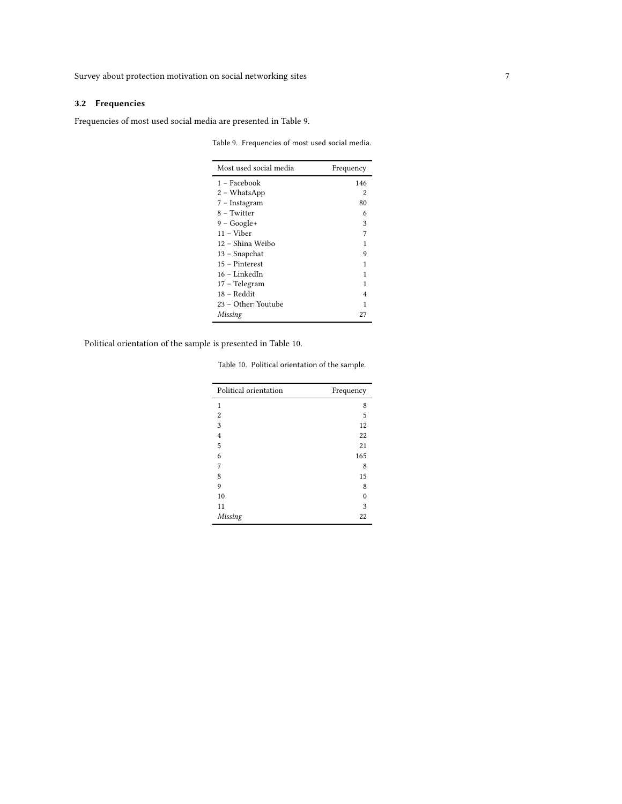## 3.2 Frequencies

<span id="page-6-0"></span>Frequencies of most used social media are presented in Table [9.](#page-6-0)

Table 9. Frequencies of most used social media.

| Most used social media | Frequency |
|------------------------|-----------|
| 1 – Facebook           | 146       |
| 2 - WhatsApp           | 2         |
| 7 - Instagram          | 80        |
| 8 – Twitter            | 6         |
| $9 - Google+$          | 3         |
| $11 -$ Viber           | 7         |
| 12 – Shina Weibo       | 1         |
| 13 - Snapchat          | 9         |
| 15 – Pinterest         | 1         |
| 16 - LinkedIn          | 1         |
| 17 - Telegram          | 1         |
| 18 – Reddit            | 4         |
| 23 – Other: Youtube    | 1         |
| Missing                | 27        |

<span id="page-6-1"></span>Political orientation of the sample is presented in Table [10.](#page-6-1)

Table 10. Political orientation of the sample.

| Political orientation | Frequency |
|-----------------------|-----------|
| 1                     | 8         |
| 2                     | 5         |
| 3                     | 12        |
| 4                     | 22        |
| 5                     | 21        |
| 6                     | 165       |
| 7                     | 8         |
| 8                     | 15        |
| 9                     | 8         |
| 10                    | 0         |
| 11                    | 3         |
| Missing               | 22        |